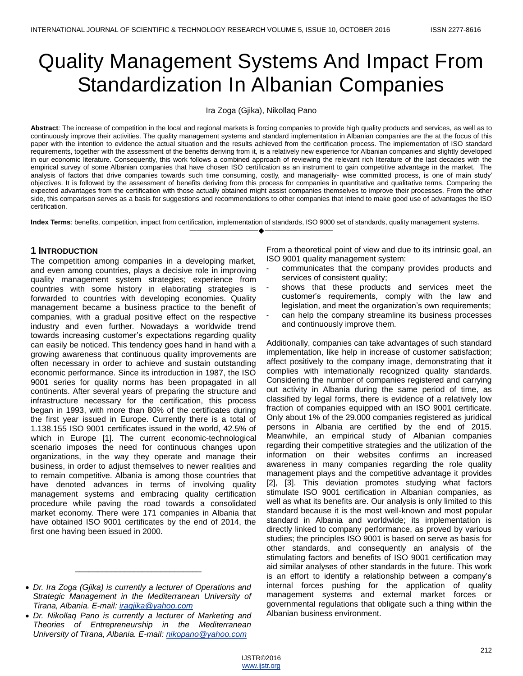# Quality Management Systems And Impact From Standardization In Albanian Companies

Ira Zoga (Gjika), Nikollaq Pano

**Abstract**: The increase of competition in the local and regional markets is forcing companies to provide high quality products and services, as well as to continuously improve their activities. The quality management systems and standard implementation in Albanian companies are the at the focus of this paper with the intention to evidence the actual situation and the results achieved from the certification process. The implementation of ISO standard requirements, together with the assessment of the benefits deriving from it, is a relatively new experience for Albanian companies and slightly developed in our economic literature. Consequently, this work follows a combined approach of reviewing the relevant rich literature of the last decades with the empirical survey of some Albanian companies that have chosen ISO certification as an instrument to gain competitive advantage in the market. The analysis of factors that drive companies towards such time consuming, costly, and managerially- wise committed process, is one of main study' objectives. It is followed by the assessment of benefits deriving from this process for companies in quantitative and qualitative terms. Comparing the expected advantages from the certification with those actually obtained might assist companies themselves to improve their processes. From the other side, this comparison serves as a basis for suggestions and recommendations to other companies that intend to make good use of advantages the ISO certification.

**Index Terms**: benefits, competition, impact from certification, implementation of standards, ISO 9000 set of standards, quality management systems. ————————————————————

# **1 INTRODUCTION**

The competition among companies in a developing market, and even among countries, plays a decisive role in improving quality management system strategies; experience from countries with some history in elaborating strategies is forwarded to countries with developing economies. Quality management became a business practice to the benefit of companies, with a gradual positive effect on the respective industry and even further. Nowadays a worldwide trend towards increasing customer's expectations regarding quality can easily be noticed. This tendency goes hand in hand with a growing awareness that continuous quality improvements are often necessary in order to achieve and sustain outstanding economic performance. Since its introduction in 1987, the ISO 9001 series for quality norms has been propagated in all continents. After several years of preparing the structure and infrastructure necessary for the certification, this process began in 1993, with more than 80% of the certificates during the first year issued in Europe. Currently there is a total of 1.138.155 ISO 9001 certificates issued in the world, 42.5% of which in Europe [1]. The current economic-technological scenario imposes the need for continuous changes upon organizations, in the way they operate and manage their business, in order to adjust themselves to newer realities and to remain competitive. Albania is among those countries that have denoted advances in terms of involving quality management systems and embracing quality certification procedure while paving the road towards a consolidated market economy. There were 171 companies in Albania that have obtained ISO 9001 certificates by the end of 2014, the first one having been issued in 2000.

\_\_\_\_\_\_\_\_\_\_\_\_\_\_\_\_\_\_\_\_\_\_\_\_\_\_\_\_

From a theoretical point of view and due to its intrinsic goal, an ISO 9001 quality management system:

- communicates that the company provides products and services of consistent quality;
- shows that these products and services meet the customer's requirements, comply with the law and legislation, and meet the organization's own requirements;
- can help the company streamline its business processes and continuously improve them.

Additionally, companies can take advantages of such standard implementation, like help in increase of customer satisfaction; affect positively to the company image, demonstrating that it complies with internationally recognized quality standards. Considering the number of companies registered and carrying out activity in Albania during the same period of time, as classified by legal forms, there is evidence of a relatively low fraction of companies equipped with an ISO 9001 certificate. Only about 1% of the 29.000 companies registered as juridical persons in Albania are certified by the end of 2015. Meanwhile, an empirical study of Albanian companies regarding their competitive strategies and the utilization of the information on their websites confirms an increased awareness in many companies regarding the role quality management plays and the competitive advantage it provides [2], [3]. This deviation promotes studying what factors stimulate ISO 9001 certification in Albanian companies, as well as what its benefits are. Our analysis is only limited to this standard because it is the most well-known and most popular standard in Albania and worldwide; its implementation is directly linked to company performance, as proved by various studies; the principles ISO 9001 is based on serve as basis for other standards, and consequently an analysis of the stimulating factors and benefits of ISO 9001 certification may aid similar analyses of other standards in the future. This work is an effort to identify a relationship between a company's internal forces pushing for the application of quality management systems and external market forces or governmental regulations that obligate such a thing within the Albanian business environment.

*Dr. Ira Zoga (Gjika) is currently a lecturer of Operations and Strategic Management in the Mediterranean University of Tirana, Albania. E-mail[: iragjika@yahoo.com](mailto:iragjika@yahoo.com)*

*Dr. Nikollaq Pano is currently a lecturer of Marketing and Theories of Entrepreneurship in the Mediterranean University of Tirana, Albania. E-mail: [nikopano@yahoo.com](mailto:nikopano@yahoo.com)*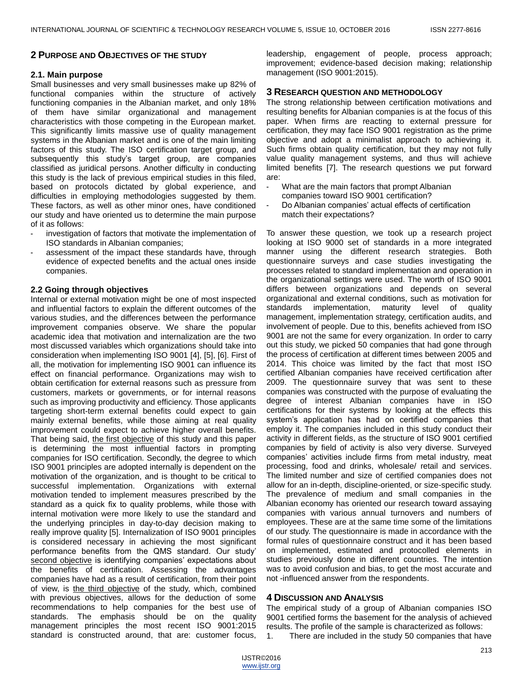#### **2 PURPOSE AND OBJECTIVES OF THE STUDY**

#### **2.1. Main purpose**

Small businesses and very small businesses make up 82% of functional companies within the structure of actively functioning companies in the Albanian market, and only 18% of them have similar organizational and management characteristics with those competing in the European market. This significantly limits massive use of quality management systems in the Albanian market and is one of the main limiting factors of this study. The ISO certification target group, and subsequently this study's target group, are companies classified as juridical persons. Another difficulty in conducting this study is the lack of previous empirical studies in this filed, based on protocols dictated by global experience, and difficulties in employing methodologies suggested by them. These factors, as well as other minor ones, have conditioned our study and have oriented us to determine the main purpose of it as follows:

- investigation of factors that motivate the implementation of ISO standards in Albanian companies;
- assessment of the impact these standards have, through evidence of expected benefits and the actual ones inside companies.

#### **2.2 Going through objectives**

Internal or external motivation might be one of most inspected and influential factors to explain the different outcomes of the various studies, and the differences between the performance improvement companies observe. We share the popular academic idea that motivation and internalization are the two most discussed variables which organizations should take into consideration when implementing ISO 9001 [4], [5], [6]. First of all, the motivation for implementing ISO 9001 can influence its effect on financial performance. Organizations may wish to obtain certification for external reasons such as pressure from customers, markets or governments, or for internal reasons such as improving productivity and efficiency. Those applicants targeting short-term external benefits could expect to gain mainly external benefits, while those aiming at real quality improvement could expect to achieve higher overall benefits. That being said, the first objective of this study and this paper is determining the most influential factors in prompting companies for ISO certification. Secondly, the degree to which ISO 9001 principles are adopted internally is dependent on the motivation of the organization, and is thought to be critical to successful implementation. Organizations with external motivation tended to implement measures prescribed by the standard as a quick fix to quality problems, while those with internal motivation were more likely to use the standard and the underlying principles in day-to-day decision making to really improve quality [5]. Internalization of ISO 9001 principles is considered necessary in achieving the most significant performance benefits from the QMS standard. Our study' second objective is identifying companies' expectations about the benefits of certification. Assessing the advantages companies have had as a result of certification, from their point of view, is the third objective of the study, which, combined with previous objectives, allows for the deduction of some recommendations to help companies for the best use of standards. The emphasis should be on the quality management principles the most recent ISO 9001:2015 standard is constructed around, that are: customer focus,

leadership, engagement of people, process approach; improvement; evidence-based decision making; relationship management (ISO 9001:2015).

#### **3 RESEARCH QUESTION AND METHODOLOGY**

The strong relationship between certification motivations and resulting benefits for Albanian companies is at the focus of this paper. When firms are reacting to external pressure for certification, they may face ISO 9001 registration as the prime objective and adopt a minimalist approach to achieving it. Such firms obtain quality certification, but they may not fully value quality management systems, and thus will achieve limited benefits [7]. The research questions we put forward are:

- What are the main factors that prompt Albanian companies toward ISO 9001 certification?
- Do Albanian companies' actual effects of certification match their expectations?

To answer these question, we took up a research project looking at ISO 9000 set of standards in a more integrated manner using the different research strategies. Both questionnaire surveys and case studies investigating the processes related to standard implementation and operation in the organizational settings were used. The worth of ISO 9001 differs between organizations and depends on several organizational and external conditions, such as motivation for standards implementation, maturity level of quality management, implementation strategy, certification audits, and involvement of people. Due to this, benefits achieved from ISO 9001 are not the same for every organization. In order to carry out this study, we picked 50 companies that had gone through the process of certification at different times between 2005 and 2014. This choice was limited by the fact that most ISO certified Albanian companies have received certification after 2009. The questionnaire survey that was sent to these companies was constructed with the purpose of evaluating the degree of interest Albanian companies have in ISO certifications for their systems by looking at the effects this system's application has had on certified companies that employ it. The companies included in this study conduct their activity in different fields, as the structure of ISO 9001 certified companies by field of activity is also very diverse. Surveyed companies' activities include firms from metal industry, meat processing, food and drinks, wholesale/ retail and services. The limited number and size of certified companies does not allow for an in-depth, discipline-oriented, or size-specific study. The prevalence of medium and small companies in the Albanian economy has oriented our research toward assaying companies with various annual turnovers and numbers of employees. These are at the same time some of the limitations of our study. The questionnaire is made in accordance with the formal rules of questionnaire construct and it has been based on implemented, estimated and protocolled elements in studies previously done in different countries. The intention was to avoid confusion and bias, to get the most accurate and not -influenced answer from the respondents.

#### **4 DISCUSSION AND ANALYSIS**

The empirical study of a group of Albanian companies ISO 9001 certified forms the basement for the analysis of achieved results. The profile of the sample is characterized as follows:

1. There are included in the study 50 companies that have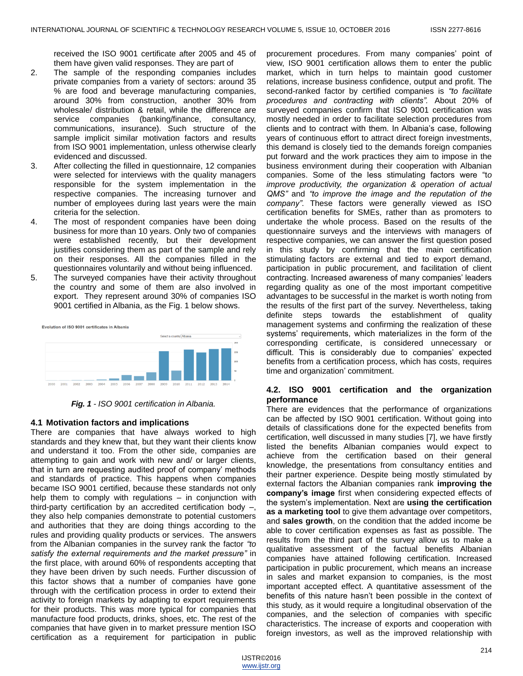received the ISO 9001 certificate after 2005 and 45 of them have given valid responses. They are part of

- 2. The sample of the responding companies includes private companies from a variety of sectors: around 35 % are food and beverage manufacturing companies, around 30% from construction, another 30% from wholesale/ distribution & retail, while the difference are service companies (banking/finance, consultancy, communications, insurance). Such structure of the sample implicit similar motivation factors and results from ISO 9001 implementation, unless otherwise clearly evidenced and discussed.
- 3. After collecting the filled in questionnaire, 12 companies were selected for interviews with the quality managers responsible for the system implementation in the respective companies. The increasing turnover and number of employees during last years were the main criteria for the selection.
- 4. The most of respondent companies have been doing business for more than 10 years. Only two of companies were established recently, but their development justifies considering them as part of the sample and rely on their responses. All the companies filled in the questionnaires voluntarily and without being influenced.
- 5. The surveyed companies have their activity throughout the country and some of them are also involved in export. They represent around 30% of companies ISO 9001 certified in Albania, as the Fig. 1 below shows.



*Fig. 1 - ISO 9001 certification in Albania.*

## **4.1 Motivation factors and implications**

There are companies that have always worked to high standards and they knew that, but they want their clients know and understand it too. From the other side, companies are attempting to gain and work with new and/ or larger clients, that in turn are requesting audited proof of company' methods and standards of practice. This happens when companies became ISO 9001 certified, because these standards not only help them to comply with regulations – in conjunction with third-party certification by an accredited certification body –, they also help companies demonstrate to potential customers and authorities that they are doing things according to the rules and providing quality products or services. The answers from the Albanian companies in the survey rank the factor *"to satisfy the external requirements and the market pressure"* in the first place, with around 60% of respondents accepting that they have been driven by such needs. Further discussion of this factor shows that a number of companies have gone through with the certification process in order to extend their activity to foreign markets by adapting to export requirements for their products. This was more typical for companies that manufacture food products, drinks, shoes, etc. The rest of the companies that have given in to market pressure mention ISO certification as a requirement for participation in public

procurement procedures. From many companies' point of view, ISO 9001 certification allows them to enter the public market, which in turn helps to maintain good customer relations, increase business confidence, output and profit. The second-ranked factor by certified companies is *"to facilitate procedures and contracting with clients".* About 20% of surveyed companies confirm that ISO 9001 certification was mostly needed in order to facilitate selection procedures from clients and to contract with them. In Albania's case, following years of continuous effort to attract direct foreign investments, this demand is closely tied to the demands foreign companies put forward and the work practices they aim to impose in the business environment during their cooperation with Albanian companies. Some of the less stimulating factors were "to *improve productivity, the organization & operation of actual QMS"* and *"to improve the image and the reputation of the company"*. These factors were generally viewed as ISO certification benefits for SMEs, rather than as promoters to undertake the whole process. Based on the results of the questionnaire surveys and the interviews with managers of respective companies, we can answer the first question posed in this study by confirming that the main certification stimulating factors are external and tied to export demand, participation in public procurement, and facilitation of client contracting. Increased awareness of many companies' leaders regarding quality as one of the most important competitive advantages to be successful in the market is worth noting from the results of the first part of the survey. Nevertheless, taking definite steps towards the establishment of quality management systems and confirming the realization of these systems' requirements, which materializes in the form of the corresponding certificate, is considered unnecessary or difficult. This is considerably due to companies' expected benefits from a certification process, which has costs, requires time and organization' commitment.

#### **4.2. ISO 9001 certification and the organization performance**

There are evidences that the performance of organizations can be affected by ISO 9001 certification. Without going into details of classifications done for the expected benefits from certification, well discussed in many studies [7], we have firstly listed the benefits Albanian companies would expect to achieve from the certification based on their general knowledge, the presentations from consultancy entities and their partner experience. Despite being mostly stimulated by external factors the Albanian companies rank **improving the company's image** first when considering expected effects of the system's implementation. Next are **using the certification as a marketing tool** to give them advantage over competitors, and **sales growth**, on the condition that the added income be able to cover certification expenses as fast as possible. The results from the third part of the survey allow us to make a qualitative assessment of the factual benefits Albanian companies have attained following certification. Increased participation in public procurement, which means an increase in sales and market expansion to companies, is the most important accepted effect. A quantitative assessment of the benefits of this nature hasn't been possible in the context of this study, as it would require a longitudinal observation of the companies, and the selection of companies with specific characteristics. The increase of exports and cooperation with foreign investors, as well as the improved relationship with

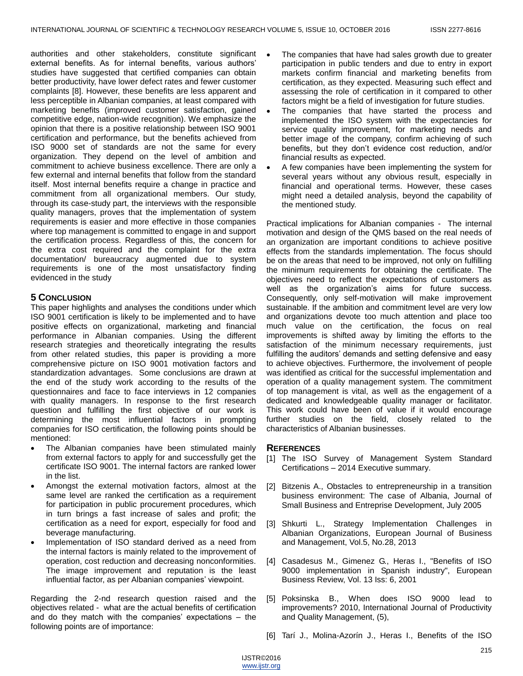authorities and other stakeholders, constitute significant external benefits. As for internal benefits, various authors' studies have suggested that certified companies can obtain better productivity, have lower defect rates and fewer customer complaints [8]. However, these benefits are less apparent and less perceptible in Albanian companies, at least compared with marketing benefits (improved customer satisfaction, gained competitive edge, nation-wide recognition). We emphasize the opinion that there is a positive relationship between ISO 9001 certification and performance, but the benefits achieved from ISO 9000 set of standards are not the same for every organization. They depend on the level of ambition and commitment to achieve business excellence. There are only a few external and internal benefits that follow from the standard itself. Most internal benefits require a change in practice and commitment from all organizational members. Our study, through its case-study part, the interviews with the responsible quality managers, proves that the implementation of system requirements is easier and more effective in those companies where top management is committed to engage in and support the certification process. Regardless of this, the concern for the extra cost required and the complaint for the extra documentation/ bureaucracy augmented due to system requirements is one of the most unsatisfactory finding evidenced in the study

## **5 CONCLUSION**

This paper highlights and analyses the conditions under which ISO 9001 certification is likely to be implemented and to have positive effects on organizational, marketing and financial performance in Albanian companies. Using the different research strategies and theoretically integrating the results from other related studies, this paper is providing a more comprehensive picture on ISO 9001 motivation factors and standardization advantages. Some conclusions are drawn at the end of the study work according to the results of the questionnaires and face to face interviews in 12 companies with quality managers. In response to the first research question and fulfilling the first objective of our work is determining the most influential factors in prompting companies for ISO certification, the following points should be mentioned:

- The Albanian companies have been stimulated mainly from external factors to apply for and successfully get the certificate ISO 9001. The internal factors are ranked lower in the list.
- Amongst the external motivation factors, almost at the same level are ranked the certification as a requirement for participation in public procurement procedures, which in turn brings a fast increase of sales and profit; the certification as a need for export, especially for food and beverage manufacturing.
- Implementation of ISO standard derived as a need from the internal factors is mainly related to the improvement of operation, cost reduction and decreasing nonconformities. The image improvement and reputation is the least influential factor, as per Albanian companies' viewpoint.

Regarding the 2-nd research question raised and the objectives related - what are the actual benefits of certification and do they match with the companies' expectations – the following points are of importance:

- The companies that have had sales growth due to greater participation in public tenders and due to entry in export markets confirm financial and marketing benefits from certification, as they expected. Measuring such effect and assessing the role of certification in it compared to other factors might be a field of investigation for future studies.
- The companies that have started the process and implemented the ISO system with the expectancies for service quality improvement, for marketing needs and better image of the company, confirm achieving of such benefits, but they don't evidence cost reduction, and/or financial results as expected.
- A few companies have been implementing the system for several years without any obvious result, especially in financial and operational terms. However, these cases might need a detailed analysis, beyond the capability of the mentioned study.

Practical implications for Albanian companies - The internal motivation and design of the QMS based on the real needs of an organization are important conditions to achieve positive effects from the standards implementation. The focus should be on the areas that need to be improved, not only on fulfilling the minimum requirements for obtaining the certificate. The objectives need to reflect the expectations of customers as well as the organization's aims for future success. Consequently, only self-motivation will make improvement sustainable. If the ambition and commitment level are very low and organizations devote too much attention and place too much value on the certification, the focus on real improvements is shifted away by limiting the efforts to the satisfaction of the minimum necessary requirements, just fulfilling the auditors' demands and setting defensive and easy to achieve objectives. Furthermore, the involvement of people was identified as critical for the successful implementation and operation of a quality management system. The commitment of top management is vital, as well as the engagement of a dedicated and knowledgeable quality manager or facilitator. This work could have been of value if it would encourage further studies on the field, closely related to the characteristics of Albanian businesses.

## **REFERENCES**

- [1] The ISO Survey of Management System Standard Certifications – 2014 Executive summary.
- [2] Bitzenis A., Obstacles to entrepreneurship in a transition business environment: The case of Albania, Journal of Small Business and Entreprise Development, July 2005
- [3] Shkurti L., Strategy Implementation Challenges in Albanian Organizations, European Journal of Business and Management, Vol.5, No.28, 2013
- [4] Casadesus M., Gimenez G., Heras I., "Benefits of ISO 9000 implementation in Spanish industry", European Business Review, Vol. 13 Iss: 6, 2001
- [5] Poksinska B., When does ISO 9000 lead to improvements? 2010, International Journal of Productivity and Quality Management, (5),
- [6] Tarí J., Molina-Azorín J., Heras I., Benefits of the ISO